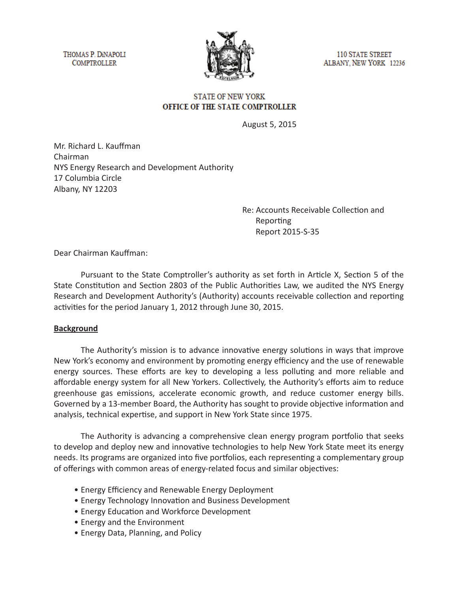THOMAS P. DINAPOLI **COMPTROLLER** 



**110 STATE STREET** ALBANY, NEW YORK 12236

#### **STATE OF NEW YORK** OFFICE OF THE STATE COMPTROLLER

August 5, 2015

Mr. Richard L. Kauffman Chairman NYS Energy Research and Development Authority 17 Columbia Circle Albany, NY 12203

> Re: Accounts Receivable Collection and Reporting Report 2015-S-35

Dear Chairman Kauffman:

Pursuant to the State Comptroller's authority as set forth in Article X, Section 5 of the State Constitution and Section 2803 of the Public Authorities Law, we audited the NYS Energy Research and Development Authority's (Authority) accounts receivable collection and reporting activities for the period January 1, 2012 through June 30, 2015.

# **Background**

The Authority's mission is to advance innovative energy solutions in ways that improve New York's economy and environment by promoting energy efficiency and the use of renewable energy sources. These efforts are key to developing a less polluting and more reliable and affordable energy system for all New Yorkers. Collectively, the Authority's efforts aim to reduce greenhouse gas emissions, accelerate economic growth, and reduce customer energy bills. Governed by a 13-member Board, the Authority has sought to provide objective information and analysis, technical expertise, and support in New York State since 1975.

The Authority is advancing a comprehensive clean energy program portfolio that seeks to develop and deploy new and innovative technologies to help New York State meet its energy needs. Its programs are organized into five portfolios, each representing a complementary group of offerings with common areas of energy-related focus and similar objectives:

- Energy Efficiency and Renewable Energy Deployment
- Energy Technology Innovation and Business Development
- Energy Education and Workforce Development
- Energy and the Environment
- Energy Data, Planning, and Policy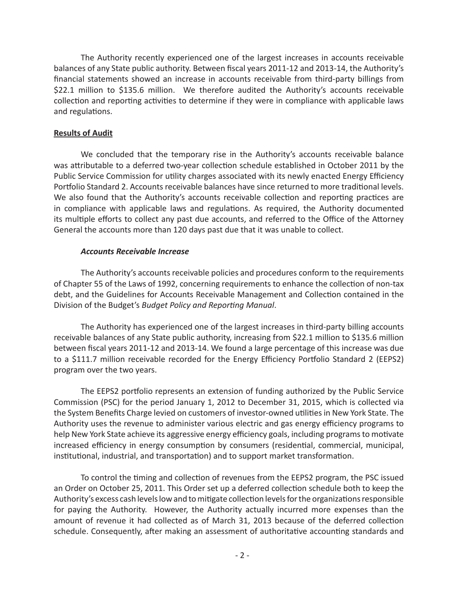The Authority recently experienced one of the largest increases in accounts receivable balances of any State public authority. Between fiscal years 2011-12 and 2013-14, the Authority's financial statements showed an increase in accounts receivable from third-party billings from \$22.1 million to \$135.6 million. We therefore audited the Authority's accounts receivable collection and reporting activities to determine if they were in compliance with applicable laws and regulations.

### **Results of Audit**

We concluded that the temporary rise in the Authority's accounts receivable balance was attributable to a deferred two-year collection schedule established in October 2011 by the Public Service Commission for utility charges associated with its newly enacted Energy Efficiency Portfolio Standard 2. Accounts receivable balances have since returned to more traditional levels. We also found that the Authority's accounts receivable collection and reporting practices are in compliance with applicable laws and regulations. As required, the Authority documented its multiple efforts to collect any past due accounts, and referred to the Office of the Attorney General the accounts more than 120 days past due that it was unable to collect.

#### *Accounts Receivable Increase*

The Authority's accounts receivable policies and procedures conform to the requirements of Chapter 55 of the Laws of 1992, concerning requirements to enhance the collection of non-tax debt, and the Guidelines for Accounts Receivable Management and Collection contained in the Division of the Budget's *Budget Policy and Reporting Manual*.

The Authority has experienced one of the largest increases in third-party billing accounts receivable balances of any State public authority, increasing from \$22.1 million to \$135.6 million between fiscal years 2011-12 and 2013-14. We found a large percentage of this increase was due to a \$111.7 million receivable recorded for the Energy Efficiency Portfolio Standard 2 (EEPS2) program over the two years.

The EEPS2 portfolio represents an extension of funding authorized by the Public Service Commission (PSC) for the period January 1, 2012 to December 31, 2015, which is collected via the System Benefits Charge levied on customers of investor-owned utilities in New York State. The Authority uses the revenue to administer various electric and gas energy efficiency programs to help New York State achieve its aggressive energy efficiency goals, including programs to motivate increased efficiency in energy consumption by consumers (residential, commercial, municipal, institutional, industrial, and transportation) and to support market transformation.

To control the timing and collection of revenues from the EEPS2 program, the PSC issued an Order on October 25, 2011. This Order set up a deferred collection schedule both to keep the Authority's excess cash levels low and to mitigate collection levels for the organizations responsible for paying the Authority. However, the Authority actually incurred more expenses than the amount of revenue it had collected as of March 31, 2013 because of the deferred collection schedule. Consequently, after making an assessment of authoritative accounting standards and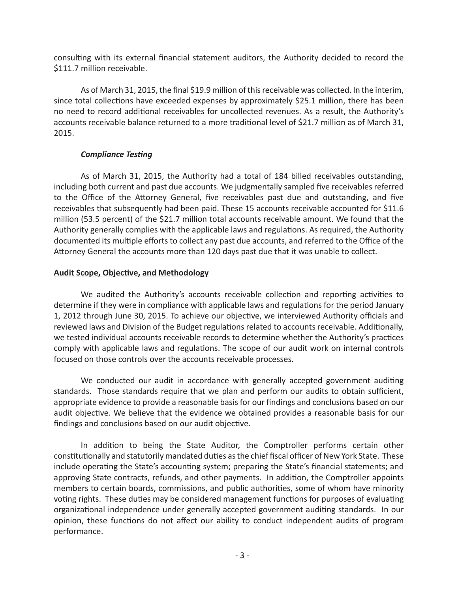consulting with its external financial statement auditors, the Authority decided to record the \$111.7 million receivable.

As of March 31, 2015, the final \$19.9 million of this receivable was collected. In the interim, since total collections have exceeded expenses by approximately \$25.1 million, there has been no need to record additional receivables for uncollected revenues. As a result, the Authority's accounts receivable balance returned to a more traditional level of \$21.7 million as of March 31, 2015.

# *Compliance Testing*

As of March 31, 2015, the Authority had a total of 184 billed receivables outstanding, including both current and past due accounts. We judgmentally sampled five receivables referred to the Office of the Attorney General, five receivables past due and outstanding, and five receivables that subsequently had been paid. These 15 accounts receivable accounted for \$11.6 million (53.5 percent) of the \$21.7 million total accounts receivable amount. We found that the Authority generally complies with the applicable laws and regulations. As required, the Authority documented its multiple efforts to collect any past due accounts, and referred to the Office of the Attorney General the accounts more than 120 days past due that it was unable to collect.

# **Audit Scope, Objective, and Methodology**

We audited the Authority's accounts receivable collection and reporting activities to determine if they were in compliance with applicable laws and regulations for the period January 1, 2012 through June 30, 2015. To achieve our objective, we interviewed Authority officials and reviewed laws and Division of the Budget regulations related to accounts receivable. Additionally, we tested individual accounts receivable records to determine whether the Authority's practices comply with applicable laws and regulations. The scope of our audit work on internal controls focused on those controls over the accounts receivable processes.

We conducted our audit in accordance with generally accepted government auditing standards. Those standards require that we plan and perform our audits to obtain sufficient, appropriate evidence to provide a reasonable basis for our findings and conclusions based on our audit objective. We believe that the evidence we obtained provides a reasonable basis for our findings and conclusions based on our audit objective.

In addition to being the State Auditor, the Comptroller performs certain other constitutionally and statutorily mandated duties as the chief fiscal officer of New York State. These include operating the State's accounting system; preparing the State's financial statements; and approving State contracts, refunds, and other payments. In addition, the Comptroller appoints members to certain boards, commissions, and public authorities, some of whom have minority voting rights. These duties may be considered management functions for purposes of evaluating organizational independence under generally accepted government auditing standards. In our opinion, these functions do not affect our ability to conduct independent audits of program performance.